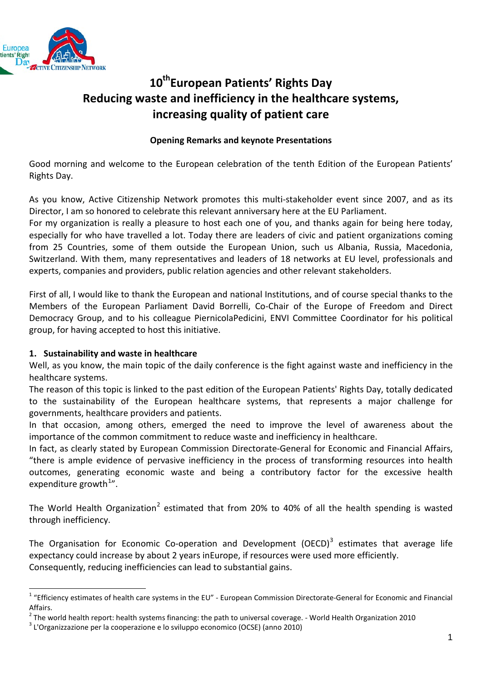

# 10<sup>th</sup>European Patients' Rights Day **Reducing waste and inefficiency in the healthcare systems, increasing quality of patient care**

## **Opening Remarks and keynote Presentations**

Good morning and welcome to the European celebration of the tenth Edition of the European Patients' Rights Day.

As you know, Active Citizenship Network promotes this multi-stakeholder event since 2007, and as its Director, I am so honored to celebrate this relevant anniversary here at the EU Parliament.

For my organization is really a pleasure to host each one of you, and thanks again for being here today, especially for who have travelled a lot. Today there are leaders of civic and patient organizations coming from 25 Countries, some of them outside the European Union, such us Albania, Russia, Macedonia, Switzerland. With them, many representatives and leaders of 18 networks at EU level, professionals and experts, companies and providers, public relation agencies and other relevant stakeholders.

First of all, I would like to thank the European and national Institutions, and of course special thanks to the Members of the European Parliament David Borrelli, Co-Chair of the Europe of Freedom and Direct Democracy Group, and to his colleague PiernicolaPedicini, ENVI Committee Coordinator for his political group, for having accepted to host this initiative.

### **1. Sustainability and waste in healthcare**

Well, as you know, the main topic of the daily conference is the fight against waste and inefficiency in the healthcare systems.

The reason of this topic is linked to the past edition of the European Patients' Rights Day, totally dedicated to the sustainability of the European healthcare systems, that represents a major challenge for governments, healthcare providers and patients.

In that occasion, among others, emerged the need to improve the level of awareness about the importance of the common commitment to reduce waste and inefficiency in healthcare.

In fact, as clearly stated by European Commission Directorate-General for Economic and Financial Affairs, "there is ample evidence of pervasive inefficiency in the process of transforming resources into health outcomes, generating economic waste and being a contributory factor for the excessive health expenditure growth<sup>[1](#page-0-0)</sup>".

The World Health Organization<sup>[2](#page-0-1)</sup> estimated that from 20% to 40% of all the health spending is wasted through inefficiency.

The Organisation for Economic Co-operation and Development (OECD)<sup>[3](#page-0-2)</sup> estimates that average life expectancy could increase by about 2 years inEurope, if resources were used more efficiently. Consequently, reducing inefficiencies can lead to substantial gains.

<span id="page-0-0"></span> $1$  "Efficiency estimates of health care systems in the EU" - European Commission Directorate-General for Economic and Financial Affairs.

<span id="page-0-1"></span><sup>&</sup>lt;sup>2</sup> The world health report: health systems financing: the path to universal coverage. - World Health Organization 2010  $3$  L'Organizzazione per la cooperazione e lo sviluppo economico (OCSE) (anno 2010)

<span id="page-0-2"></span>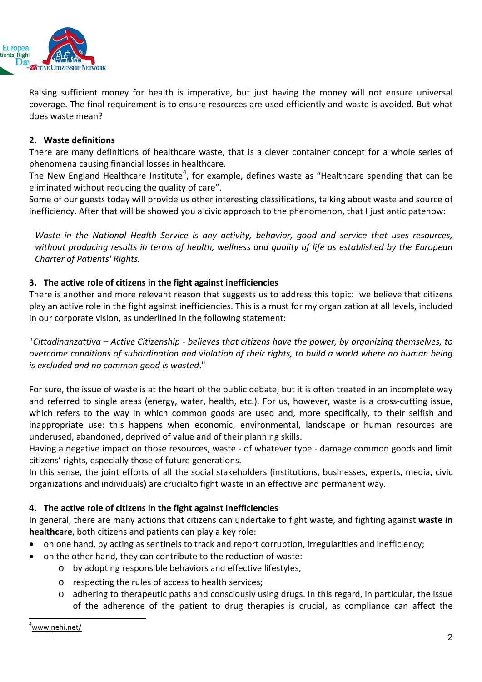

Raising sufficient money for health is imperative, but just having the money will not ensure universal coverage. The final requirement is to ensure resources are used efficiently and waste is avoided. But what does waste mean?

### **2. Waste definitions**

There are many definitions of healthcare waste, that is a clever container concept for a whole series of phenomena causing financial losses in healthcare.

The New England Healthcare Institute<sup>[4](#page-1-0)</sup>, for example, defines waste as "Healthcare spending that can be eliminated without reducing the quality of care".

Some of our guests today will provide us other interesting classifications, talking about waste and source of inefficiency. After that will be showed you a civic approach to the phenomenon, that I just anticipatenow:

*Waste in the National Health Service is any activity, behavior, good and service that uses resources, without producing results in terms of health, wellness and quality of life as established by the European Charter of Patients' Rights.*

### **3. The active role of citizens in the fight against inefficiencies**

There is another and more relevant reason that suggests us to address this topic: we believe that citizens play an active role in the fight against inefficiencies. This is a must for my organization at all levels, included in our corporate vision, as underlined in the following statement:

"*Cittadinanzattiva – Active Citizenship - believes that citizens have the power, by organizing themselves, to overcome conditions of subordination and violation of their rights, to build a world where no human being is excluded and no common good is wasted*."

For sure, the issue of waste is at the heart of the public debate, but it is often treated in an incomplete way and referred to single areas (energy, water, health, etc.). For us, however, waste is a cross-cutting issue, which refers to the way in which common goods are used and, more specifically, to their selfish and inappropriate use: this happens when economic, environmental, landscape or human resources are underused, abandoned, deprived of value and of their planning skills.

Having a negative impact on those resources, waste - of whatever type - damage common goods and limit citizens' rights, especially those of future generations.

In this sense, the joint efforts of all the social stakeholders (institutions, businesses, experts, media, civic organizations and individuals) are crucialto fight waste in an effective and permanent way.

### **4. The active role of citizens in the fight against inefficiencies**

In general, there are many actions that citizens can undertake to fight waste, and fighting against **waste in healthcare**, both citizens and patients can play a key role:

- on one hand, by acting as sentinels to track and report corruption, irregularities and inefficiency;
- <span id="page-1-0"></span>• on the other hand, they can contribute to the reduction of waste:
	- o by adopting responsible behaviors and effective lifestyles,
	- o respecting the rules of access to health services;
	- o adhering to therapeutic paths and consciously using drugs. In this regard, in particular, the issue of the adherence of the patient to drug therapies is crucial, as compliance can affect the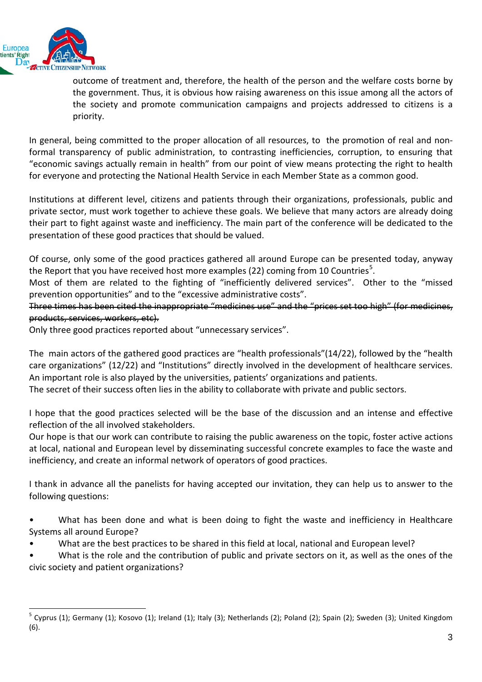

outcome of treatment and, therefore, the health of the person and the welfare costs borne by the government. Thus, it is obvious how raising awareness on this issue among all the actors of the society and promote communication campaigns and projects addressed to citizens is a priority.

In general, being committed to the proper allocation of all resources, to the promotion of real and nonformal transparency of public administration, to contrasting inefficiencies, corruption, to ensuring that "economic savings actually remain in health" from our point of view means protecting the right to health for everyone and protecting the National Health Service in each Member State as a common good.

Institutions at different level, citizens and patients through their organizations, professionals, public and private sector, must work together to achieve these goals. We believe that many actors are already doing their part to fight against waste and inefficiency. The main part of the conference will be dedicated to the presentation of these good practices that should be valued.

Of course, only some of the good practices gathered all around Europe can be presented today, anyway the Report that you have received host more examples (22) coming from 10 Countries<sup>[5](#page-2-0)</sup>.

Most of them are related to the fighting of "inefficiently delivered services". Other to the "missed prevention opportunities" and to the "excessive administrative costs".

#### Three times has been cited the inappropriate "medicines use" and the "prices set too high" (for medicines, products, services, workers, etc).

Only three good practices reported about "unnecessary services".

The main actors of the gathered good practices are "health professionals"(14/22), followed by the "health care organizations" (12/22) and "Institutions" directly involved in the development of healthcare services. An important role is also played by the universities, patients' organizations and patients. The secret of their success often lies in the ability to collaborate with private and public sectors.

I hope that the good practices selected will be the base of the discussion and an intense and effective reflection of the all involved stakeholders.

Our hope is that our work can contribute to raising the public awareness on the topic, foster active actions at local, national and European level by disseminating successful concrete examples to face the waste and inefficiency, and create an informal network of operators of good practices.

I thank in advance all the panelists for having accepted our invitation, they can help us to answer to the following questions:

- What has been done and what is been doing to fight the waste and inefficiency in Healthcare Systems all around Europe?
- What are the best practices to be shared in this field at local, national and European level?

• What is the role and the contribution of public and private sectors on it, as well as the ones of the civic society and patient organizations?

<span id="page-2-0"></span><sup>&</sup>lt;sup>5</sup> Cyprus (1); Germany (1); Kosovo (1); Ireland (1); Italy (3); Netherlands (2); Poland (2); Spain (2); Sweden (3); United Kingdom (6).